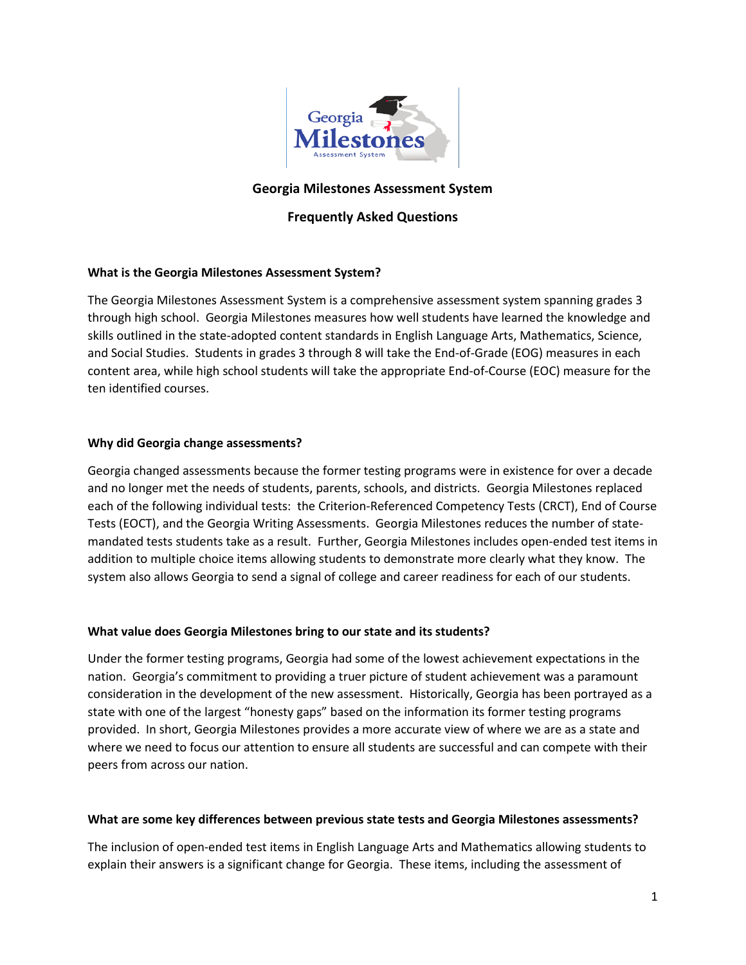

## **Georgia Milestones Assessment System**

# **Frequently Asked Questions**

### **What is the Georgia Milestones Assessment System?**

The Georgia Milestones Assessment System is a comprehensive assessment system spanning grades 3 through high school. Georgia Milestones measures how well students have learned the knowledge and skills outlined in the state-adopted content standards in English Language Arts, Mathematics, Science, and Social Studies. Students in grades 3 through 8 will take the End-of-Grade (EOG) measures in each content area, while high school students will take the appropriate End-of-Course (EOC) measure for the ten identified courses.

### **Why did Georgia change assessments?**

Georgia changed assessments because the former testing programs were in existence for over a decade and no longer met the needs of students, parents, schools, and districts. Georgia Milestones replaced each of the following individual tests: the Criterion-Referenced Competency Tests (CRCT), End of Course Tests (EOCT), and the Georgia Writing Assessments. Georgia Milestones reduces the number of statemandated tests students take as a result. Further, Georgia Milestones includes open-ended test items in addition to multiple choice items allowing students to demonstrate more clearly what they know. The system also allows Georgia to send a signal of college and career readiness for each of our students.

### **What value does Georgia Milestones bring to our state and its students?**

Under the former testing programs, Georgia had some of the lowest achievement expectations in the nation. Georgia's commitment to providing a truer picture of student achievement was a paramount consideration in the development of the new assessment. Historically, Georgia has been portrayed as a state with one of the largest "honesty gaps" based on the information its former testing programs provided. In short, Georgia Milestones provides a more accurate view of where we are as a state and where we need to focus our attention to ensure all students are successful and can compete with their peers from across our nation.

#### **What are some key differences between previous state tests and Georgia Milestones assessments?**

The inclusion of open-ended test items in English Language Arts and Mathematics allowing students to explain their answers is a significant change for Georgia. These items, including the assessment of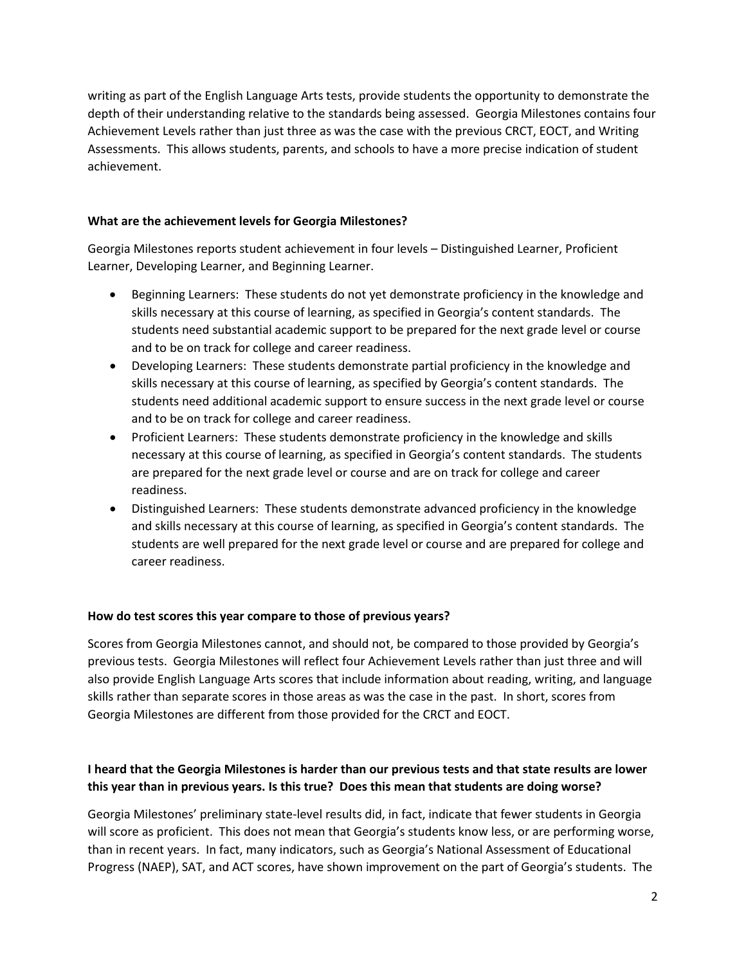writing as part of the English Language Arts tests, provide students the opportunity to demonstrate the depth of their understanding relative to the standards being assessed. Georgia Milestones contains four Achievement Levels rather than just three as was the case with the previous CRCT, EOCT, and Writing Assessments. This allows students, parents, and schools to have a more precise indication of student achievement.

### **What are the achievement levels for Georgia Milestones?**

Georgia Milestones reports student achievement in four levels – Distinguished Learner, Proficient Learner, Developing Learner, and Beginning Learner.

- Beginning Learners: These students do not yet demonstrate proficiency in the knowledge and skills necessary at this course of learning, as specified in Georgia's content standards. The students need substantial academic support to be prepared for the next grade level or course and to be on track for college and career readiness.
- Developing Learners: These students demonstrate partial proficiency in the knowledge and skills necessary at this course of learning, as specified by Georgia's content standards. The students need additional academic support to ensure success in the next grade level or course and to be on track for college and career readiness.
- Proficient Learners: These students demonstrate proficiency in the knowledge and skills necessary at this course of learning, as specified in Georgia's content standards. The students are prepared for the next grade level or course and are on track for college and career readiness.
- Distinguished Learners: These students demonstrate advanced proficiency in the knowledge and skills necessary at this course of learning, as specified in Georgia's content standards. The students are well prepared for the next grade level or course and are prepared for college and career readiness.

### **How do test scores this year compare to those of previous years?**

Scores from Georgia Milestones cannot, and should not, be compared to those provided by Georgia's previous tests. Georgia Milestones will reflect four Achievement Levels rather than just three and will also provide English Language Arts scores that include information about reading, writing, and language skills rather than separate scores in those areas as was the case in the past. In short, scores from Georgia Milestones are different from those provided for the CRCT and EOCT.

# **I heard that the Georgia Milestones is harder than our previous tests and that state results are lower this year than in previous years. Is this true? Does this mean that students are doing worse?**

Georgia Milestones' preliminary state-level results did, in fact, indicate that fewer students in Georgia will score as proficient. This does not mean that Georgia's students know less, or are performing worse, than in recent years. In fact, many indicators, such as Georgia's National Assessment of Educational Progress (NAEP), SAT, and ACT scores, have shown improvement on the part of Georgia's students. The